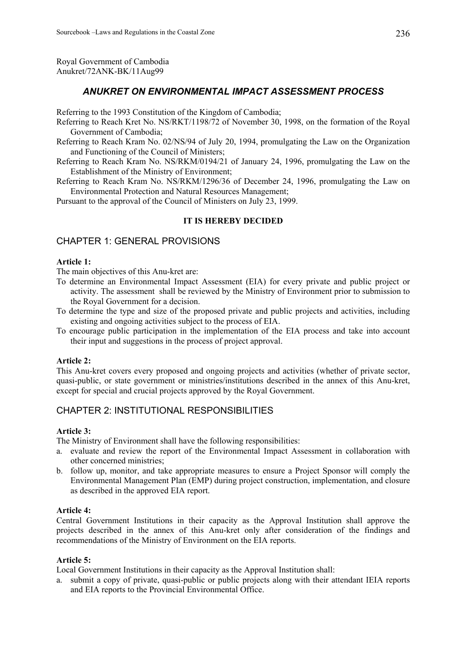Royal Government of Cambodia Anukret/72ANK-BK/11Aug99

## *ANUKRET ON ENVIRONMENTAL IMPACT ASSESSMENT PROCESS*

Referring to the 1993 Constitution of the Kingdom of Cambodia;

- Referring to Reach Kret No. NS/RKT/1198/72 of November 30, 1998, on the formation of the Royal Government of Cambodia;
- Referring to Reach Kram No. 02/NS/94 of July 20, 1994, promulgating the Law on the Organization and Functioning of the Council of Ministers;
- Referring to Reach Kram No. NS/RKM/0194/21 of January 24, 1996, promulgating the Law on the Establishment of the Ministry of Environment;
- Referring to Reach Kram No. NS/RKM/1296/36 of December 24, 1996, promulgating the Law on Environmental Protection and Natural Resources Management;

Pursuant to the approval of the Council of Ministers on July 23, 1999.

## **IT IS HEREBY DECIDED**

## CHAPTER 1: GENERAL PROVISIONS

### **Article 1:**

The main objectives of this Anu-kret are:

- To determine an Environmental Impact Assessment (EIA) for every private and public project or activity. The assessment shall be reviewed by the Ministry of Environment prior to submission to the Royal Government for a decision.
- To determine the type and size of the proposed private and public projects and activities, including existing and ongoing activities subject to the process of EIA.
- To encourage public participation in the implementation of the EIA process and take into account their input and suggestions in the process of project approval.

#### **Article 2:**

This Anu-kret covers every proposed and ongoing projects and activities (whether of private sector, quasi-public, or state government or ministries/institutions described in the annex of this Anu-kret, except for special and crucial projects approved by the Royal Government.

## CHAPTER 2: INSTITUTIONAL RESPONSIBILITIES

#### **Article 3:**

The Ministry of Environment shall have the following responsibilities:

- a. evaluate and review the report of the Environmental Impact Assessment in collaboration with other concerned ministries;
- b. follow up, monitor, and take appropriate measures to ensure a Project Sponsor will comply the Environmental Management Plan (EMP) during project construction, implementation, and closure as described in the approved EIA report.

#### **Article 4:**

Central Government Institutions in their capacity as the Approval Institution shall approve the projects described in the annex of this Anu-kret only after consideration of the findings and recommendations of the Ministry of Environment on the EIA reports.

#### **Article 5:**

Local Government Institutions in their capacity as the Approval Institution shall:

a. submit a copy of private, quasi-public or public projects along with their attendant IEIA reports and EIA reports to the Provincial Environmental Office.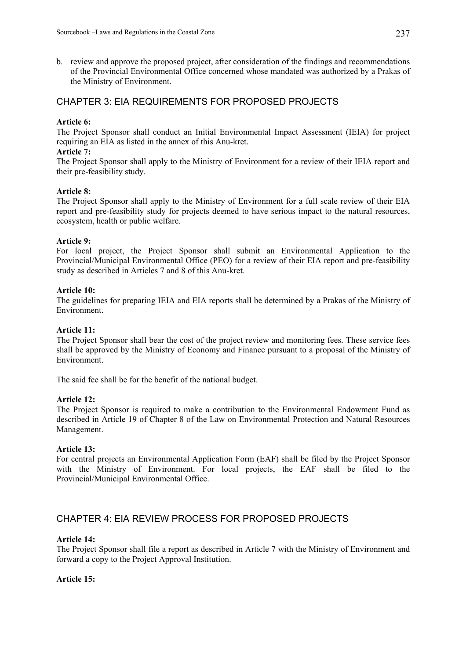b. review and approve the proposed project, after consideration of the findings and recommendations of the Provincial Environmental Office concerned whose mandated was authorized by a Prakas of the Ministry of Environment.

## CHAPTER 3: EIA REQUIREMENTS FOR PROPOSED PROJECTS

### **Article 6:**

The Project Sponsor shall conduct an Initial Environmental Impact Assessment (IEIA) for project requiring an EIA as listed in the annex of this Anu-kret.

### **Article 7:**

The Project Sponsor shall apply to the Ministry of Environment for a review of their IEIA report and their pre-feasibility study.

#### **Article 8:**

The Project Sponsor shall apply to the Ministry of Environment for a full scale review of their EIA report and pre-feasibility study for projects deemed to have serious impact to the natural resources, ecosystem, health or public welfare.

### **Article 9:**

For local project, the Project Sponsor shall submit an Environmental Application to the Provincial/Municipal Environmental Office (PEO) for a review of their EIA report and pre-feasibility study as described in Articles 7 and 8 of this Anu-kret.

### **Article 10:**

The guidelines for preparing IEIA and EIA reports shall be determined by a Prakas of the Ministry of Environment.

### **Article 11:**

The Project Sponsor shall bear the cost of the project review and monitoring fees. These service fees shall be approved by the Ministry of Economy and Finance pursuant to a proposal of the Ministry of Environment.

The said fee shall be for the benefit of the national budget.

#### **Article 12:**

The Project Sponsor is required to make a contribution to the Environmental Endowment Fund as described in Article 19 of Chapter 8 of the Law on Environmental Protection and Natural Resources Management.

#### **Article 13:**

For central projects an Environmental Application Form (EAF) shall be filed by the Project Sponsor with the Ministry of Environment. For local projects, the EAF shall be filed to the Provincial/Municipal Environmental Office.

## CHAPTER 4: EIA REVIEW PROCESS FOR PROPOSED PROJECTS

#### **Article 14:**

The Project Sponsor shall file a report as described in Article 7 with the Ministry of Environment and forward a copy to the Project Approval Institution.

#### **Article 15:**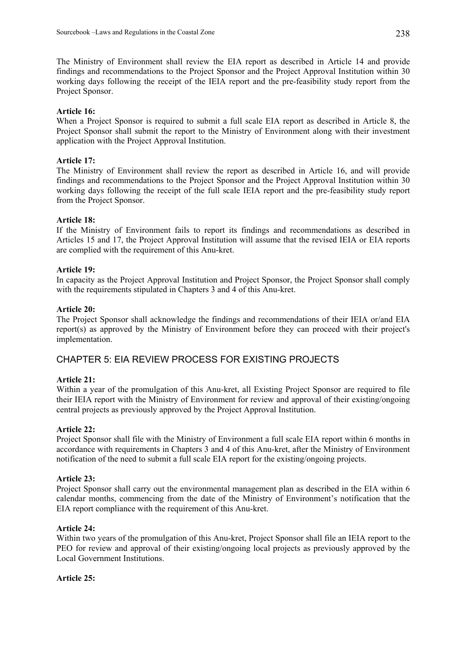The Ministry of Environment shall review the EIA report as described in Article 14 and provide findings and recommendations to the Project Sponsor and the Project Approval Institution within 30 working days following the receipt of the IEIA report and the pre-feasibility study report from the Project Sponsor.

### **Article 16:**

When a Project Sponsor is required to submit a full scale EIA report as described in Article 8, the Project Sponsor shall submit the report to the Ministry of Environment along with their investment application with the Project Approval Institution.

### **Article 17:**

The Ministry of Environment shall review the report as described in Article 16, and will provide findings and recommendations to the Project Sponsor and the Project Approval Institution within 30 working days following the receipt of the full scale IEIA report and the pre-feasibility study report from the Project Sponsor.

#### **Article 18:**

If the Ministry of Environment fails to report its findings and recommendations as described in Articles 15 and 17, the Project Approval Institution will assume that the revised IEIA or EIA reports are complied with the requirement of this Anu-kret.

#### **Article 19:**

In capacity as the Project Approval Institution and Project Sponsor, the Project Sponsor shall comply with the requirements stipulated in Chapters 3 and 4 of this Anu-kret.

#### **Article 20:**

The Project Sponsor shall acknowledge the findings and recommendations of their IEIA or/and EIA report(s) as approved by the Ministry of Environment before they can proceed with their project's implementation.

## CHAPTER 5: EIA REVIEW PROCESS FOR EXISTING PROJECTS

#### **Article 21:**

Within a year of the promulgation of this Anu-kret, all Existing Project Sponsor are required to file their IEIA report with the Ministry of Environment for review and approval of their existing/ongoing central projects as previously approved by the Project Approval Institution.

#### **Article 22:**

Project Sponsor shall file with the Ministry of Environment a full scale EIA report within 6 months in accordance with requirements in Chapters 3 and 4 of this Anu-kret, after the Ministry of Environment notification of the need to submit a full scale EIA report for the existing/ongoing projects.

#### **Article 23:**

Project Sponsor shall carry out the environmental management plan as described in the EIA within 6 calendar months, commencing from the date of the Ministry of Environment's notification that the EIA report compliance with the requirement of this Anu-kret.

#### **Article 24:**

Within two years of the promulgation of this Anu-kret, Project Sponsor shall file an IEIA report to the PEO for review and approval of their existing/ongoing local projects as previously approved by the Local Government Institutions.

#### **Article 25:**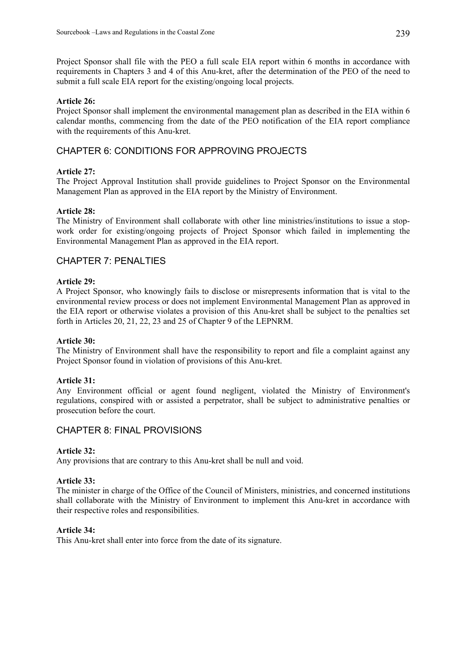Project Sponsor shall file with the PEO a full scale EIA report within 6 months in accordance with requirements in Chapters 3 and 4 of this Anu-kret, after the determination of the PEO of the need to submit a full scale EIA report for the existing/ongoing local projects.

### **Article 26:**

Project Sponsor shall implement the environmental management plan as described in the EIA within 6 calendar months, commencing from the date of the PEO notification of the EIA report compliance with the requirements of this Anu-kret.

## CHAPTER 6: CONDITIONS FOR APPROVING PROJECTS

### **Article 27:**

The Project Approval Institution shall provide guidelines to Project Sponsor on the Environmental Management Plan as approved in the EIA report by the Ministry of Environment.

### **Article 28:**

The Ministry of Environment shall collaborate with other line ministries/institutions to issue a stopwork order for existing/ongoing projects of Project Sponsor which failed in implementing the Environmental Management Plan as approved in the EIA report.

## CHAPTER 7: PENALTIES

### **Article 29:**

A Project Sponsor, who knowingly fails to disclose or misrepresents information that is vital to the environmental review process or does not implement Environmental Management Plan as approved in the EIA report or otherwise violates a provision of this Anu-kret shall be subject to the penalties set forth in Articles 20, 21, 22, 23 and 25 of Chapter 9 of the LEPNRM.

#### **Article 30:**

The Ministry of Environment shall have the responsibility to report and file a complaint against any Project Sponsor found in violation of provisions of this Anu-kret.

#### **Article 31:**

Any Environment official or agent found negligent, violated the Ministry of Environment's regulations, conspired with or assisted a perpetrator, shall be subject to administrative penalties or prosecution before the court.

## CHAPTER 8: FINAL PROVISIONS

#### **Article 32:**

Any provisions that are contrary to this Anu-kret shall be null and void.

#### **Article 33:**

The minister in charge of the Office of the Council of Ministers, ministries, and concerned institutions shall collaborate with the Ministry of Environment to implement this Anu-kret in accordance with their respective roles and responsibilities.

#### **Article 34:**

This Anu-kret shall enter into force from the date of its signature.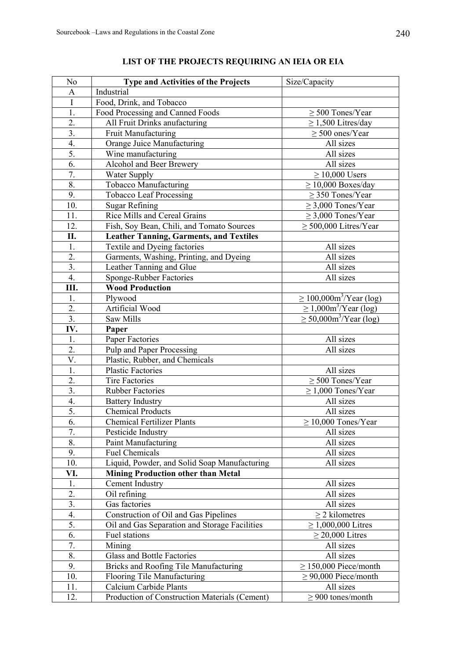| N <sub>o</sub>   | Type and Activities of the Projects            | Size/Capacity                               |
|------------------|------------------------------------------------|---------------------------------------------|
| A                | Industrial                                     |                                             |
| $\mathbf I$      | Food, Drink, and Tobacco                       |                                             |
| 1.               | Food Processing and Canned Foods               | $\geq$ 500 Tones/Year                       |
| $\overline{2}$ . | All Fruit Drinks anufacturing                  | $\geq$ 1,500 Litres/day                     |
| $\overline{3}$ . | Fruit Manufacturing                            | $\geq$ 500 ones/Year                        |
| $\overline{4}$ . | Orange Juice Manufacturing                     | All sizes                                   |
| 5.               | Wine manufacturing                             | All sizes                                   |
| 6.               | Alcohol and Beer Brewery                       | All sizes                                   |
| 7.               | Water Supply                                   | $\geq$ 10,000 Users                         |
| 8.               | Tobacco Manufacturing                          | $\geq$ 10,000 Boxes/day                     |
| 9.               | <b>Tobacco Leaf Processing</b>                 | $\geq$ 350 Tones/Year                       |
| 10.              | <b>Sugar Refining</b>                          | $\geq$ 3,000 Tones/Year                     |
| 11.              | Rice Mills and Cereal Grains                   | $\geq$ 3,000 Tones/Year                     |
| 12.              | Fish, Soy Bean, Chili, and Tomato Sources      | $\geq$ 500,000 Litres/Year                  |
| П.               | <b>Leather Tanning, Garments, and Textiles</b> |                                             |
| 1.               | Textile and Dyeing factories                   | All sizes                                   |
| $\overline{2}$ . | Garments, Washing, Printing, and Dyeing        | All sizes                                   |
| 3.               | Leather Tanning and Glue                       | All sizes                                   |
| 4.               | Sponge-Rubber Factories                        | All sizes                                   |
| Ш.               | <b>Wood Production</b>                         |                                             |
| 1.               | Plywood                                        | $\geq 100,000 \text{m}^3/\text{Year}$ (log) |
| $\overline{2}$ . | Artificial Wood                                | $\geq 1,000$ m <sup>3</sup> /Year (log)     |
| 3.               | Saw Mills                                      | $\geq$ 50,000m <sup>3</sup> /Year (log)     |
| IV.              | Paper                                          |                                             |
| 1.               | Paper Factories                                | All sizes                                   |
| $\overline{2}$ . | Pulp and Paper Processing                      | All sizes                                   |
| V.               | Plastic, Rubber, and Chemicals                 |                                             |
| 1.               | <b>Plastic Factories</b>                       | All sizes                                   |
| 2.               | <b>Tire Factories</b>                          | $\geq$ 500 Tones/Year                       |
| $\overline{3}$ . | <b>Rubber Factories</b>                        | $\geq$ 1,000 Tones/Year                     |
| 4.               | <b>Battery Industry</b>                        | All sizes                                   |
| 5.               | <b>Chemical Products</b>                       | All sizes                                   |
| 6.               | <b>Chemical Fertilizer Plants</b>              | $\geq$ 10,000 Tones/Year                    |
| 7.               | Pesticide Industry                             | All sizes                                   |
| 8.               | Paint Manufacturing                            | All sizes                                   |
| 9.               | <b>Fuel Chemicals</b>                          | All sizes                                   |
| 10.              | Liquid, Powder, and Solid Soap Manufacturing   | All sizes                                   |
| VI.              | <b>Mining Production other than Metal</b>      |                                             |
| 1.               | <b>Cement Industry</b>                         | All sizes                                   |
| 2.               | Oil refining                                   | All sizes                                   |
| 3.               | Gas factories                                  | All sizes                                   |
| 4.               | Construction of Oil and Gas Pipelines          | $\geq$ 2 kilometres                         |
| 5.               | Oil and Gas Separation and Storage Facilities  | $≥ 1,000,000$ Litres                        |
| 6.               | Fuel stations                                  | $\geq$ 20,000 Litres                        |
| 7.               | Mining                                         | All sizes                                   |
| 8.               | <b>Glass and Bottle Factories</b>              | All sizes                                   |
| 9.               | Bricks and Roofing Tile Manufacturing          | $\geq$ 150,000 Piece/month                  |
| 10.              | Flooring Tile Manufacturing                    | $\geq$ 90,000 Piece/month                   |
| 11.              | Calcium Carbide Plants                         | All sizes                                   |
| 12.              | Production of Construction Materials (Cement)  | $\geq$ 900 tones/month                      |

# **LIST OF THE PROJECTS REQUIRING AN IEIA OR EIA**